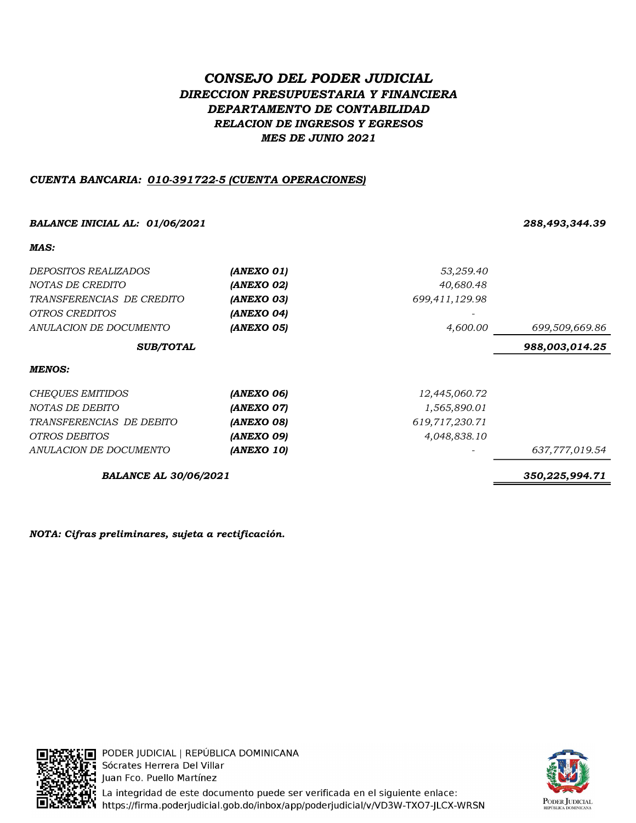# CONSEJO DEL PODER JUDICIAL DIRECCION PRESUPUESTARIA Y FINANCIERA DEPARTAMENTO DE CONTABILIDAD RELACION DE INGRESOS Y EGRESOS MES DE JUNIO 2021

# CUENTA BANCARIA: 010-391722-5 (CUENTA OPERACIONES)

## BALANCE INICIAL AL: 01/06/2021 288,493,344.39

# MAS: DEPOSITOS REALIZADOS **(ANEXO 01)** 53,259.40 NOTAS DE CREDITO **(ANEXO 02)** (ANEXO 02) 40,680.48 TRANSFERENCIAS DE CREDITO **(ANEXO 03)** 699,411,129.98 OTROS CREDITOS **(ANEXO 04)**  $\blacksquare$ ANULACION DE DOCUMENTO **(ANEXO 05) 4,600.00** 699,509,669.86 988,003,014.25 MENOS: CHEQUES EMITIDOS **(ANEXO 06)** 12,445,060.72 NOTAS DE DEBITO **(ANEXO 07)**  $1,565,890.01$ TRANSFERENCIAS DE DEBITO **(ANEXO 08)** 619,717,230.71 OTROS DEBITOS **(ANEXO 09)** 4,048,838.10 ANULACION DE DOCUMENTO **(ANEXO 10)** 637,777,019.54 SUB/TOTAL

BALANCE AL 30/06/2021 350,225,994.71

NOTA: Cifras preliminares, sujeta a rectificación.



: □ PODER JUDICIAL | REPÚBLICA DOMINICANA **T:** Sócrates Herrera Del Villar Juan Fco. Puello Martínez La integridad de este documento puede ser verificada en el siguiente enlace: https://firma.poderjudicial.gob.do/inbox/app/poderjudicial/v/VD3W-TXO7-JLCX-WRSN

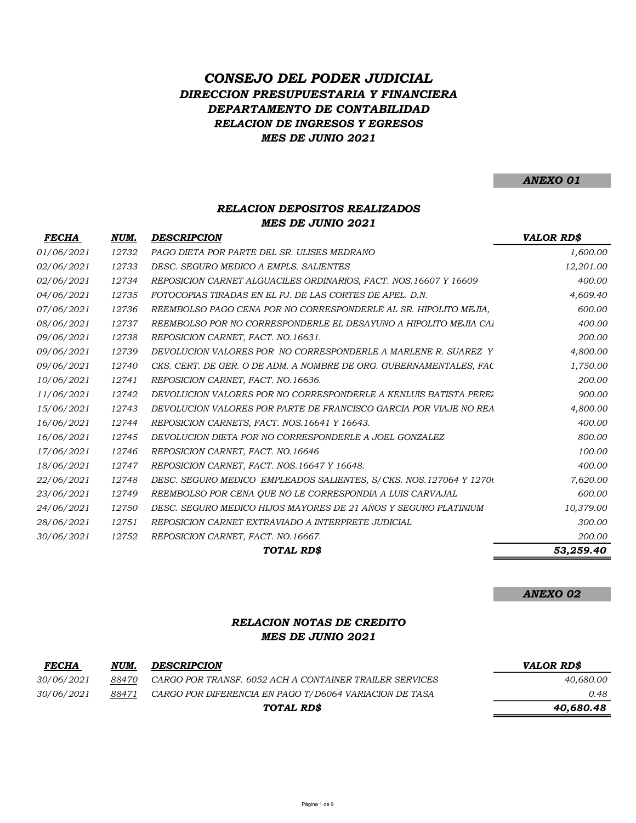# MES DE JUNIO 2021 CONSEJO DEL PODER JUDICIAL DIRECCION PRESUPUESTARIA Y FINANCIERA DEPARTAMENTO DE CONTABILIDAD RELACION DE INGRESOS Y EGRESOS

ANEXO 01

## RELACION DEPOSITOS REALIZADOS MES DE JUNIO 2021

| <i>FECHA</i> | NUM.  | <b>DESCRIPCION</b>                                                 | <b>VALOR RD\$</b> |
|--------------|-------|--------------------------------------------------------------------|-------------------|
| 01/06/2021   | 12732 | PAGO DIETA POR PARTE DEL SR. ULISES MEDRANO                        | 1,600.00          |
| 02/06/2021   | 12733 | DESC. SEGURO MEDICO A EMPLS. SALIENTES                             | 12,201.00         |
| 02/06/2021   | 12734 | REPOSICION CARNET ALGUACILES ORDINARIOS, FACT. NOS. 16607 Y 16609  | 400.00            |
| 04/06/2021   | 12735 | FOTOCOPIAS TIRADAS EN EL P.I. DE LAS CORTES DE APEL. D.N.          | 4,609.40          |
| 07/06/2021   | 12736 | REEMBOLSO PAGO CENA POR NO CORRESPONDERLE AL SR. HIPOLITO MEJIA,   | 600.00            |
| 08/06/2021   | 12737 | REEMBOLSO POR NO CORRESPONDERLE EL DESAYUNO A HIPOLITO MEJIA CAJ   | 400.00            |
| 09/06/2021   | 12738 | REPOSICION CARNET, FACT. NO.16631.                                 | 200.00            |
| 09/06/2021   | 12739 | DEVOLUCION VALORES POR NO CORRESPONDERLE A MARLENE R. SUAREZ Y     | 4,800.00          |
| 09/06/2021   | 12740 | CKS. CERT. DE GER. O DE ADM. A NOMBRE DE ORG. GUBERNAMENTALES, FAC | 1,750.00          |
| 10/06/2021   | 12741 | REPOSICION CARNET, FACT. NO.16636.                                 | 200.00            |
| 11/06/2021   | 12742 | DEVOLUCION VALORES POR NO CORRESPONDERLE A KENLUIS BATISTA PEREZ   | 900.00            |
| 15/06/2021   | 12743 | DEVOLUCION VALORES POR PARTE DE FRANCISCO GARCIA POR VIAJE NO REA  | 4,800.00          |
| 16/06/2021   | 12744 | REPOSICION CARNETS, FACT. NOS.16641 Y 16643.                       | 400.00            |
| 16/06/2021   | 12745 | DEVOLUCION DIETA POR NO CORRESPONDERLE A JOEL GONZALEZ             | 800.00            |
| 17/06/2021   | 12746 | REPOSICION CARNET, FACT. NO.16646                                  | 100.00            |
| 18/06/2021   | 12747 | REPOSICION CARNET, FACT. NOS.16647 Y 16648.                        | 400.00            |
| 22/06/2021   | 12748 | DESC. SEGURO MEDICO EMPLEADOS SALIENTES, S/CKS. NOS.127064 Y 12700 | 7,620.00          |
| 23/06/2021   | 12749 | REEMBOLSO POR CENA OUE NO LE CORRESPONDIA A LUIS CARVAJAL          | 600.00            |
| 24/06/2021   | 12750 | DESC. SEGURO MEDICO HIJOS MAYORES DE 21 AÑOS Y SEGURO PLATINIUM    | 10,379.00         |
| 28/06/2021   | 12751 | REPOSICION CARNET EXTRAVIADO A INTERPRETE JUDICIAL                 | 300.00            |
| 30/06/2021   | 12752 | REPOSICION CARNET, FACT. NO.16667.                                 | 200.00            |
|              |       | TOTAL RD\$                                                         | 53,259.40         |

#### ANEXO 02

## MES DE JUNIO 2021 RELACION NOTAS DE CREDITO

| <b>FECHA</b>      | NUM.  | <b>DESCRIPCION</b>                                      | VALOR RD\$ |
|-------------------|-------|---------------------------------------------------------|------------|
| <i>30/06/2021</i> | 88470 | CARGO POR TRANSF. 6052 ACH A CONTAINER TRAILER SERVICES | 40.680.00  |
| <i>30/06/2021</i> | 88471 | CARGO POR DIFERENCIA EN PAGO T/D6064 VARIACION DE TASA  | 0.48       |
|                   |       | TOTAL RD\$                                              | 40.680.48  |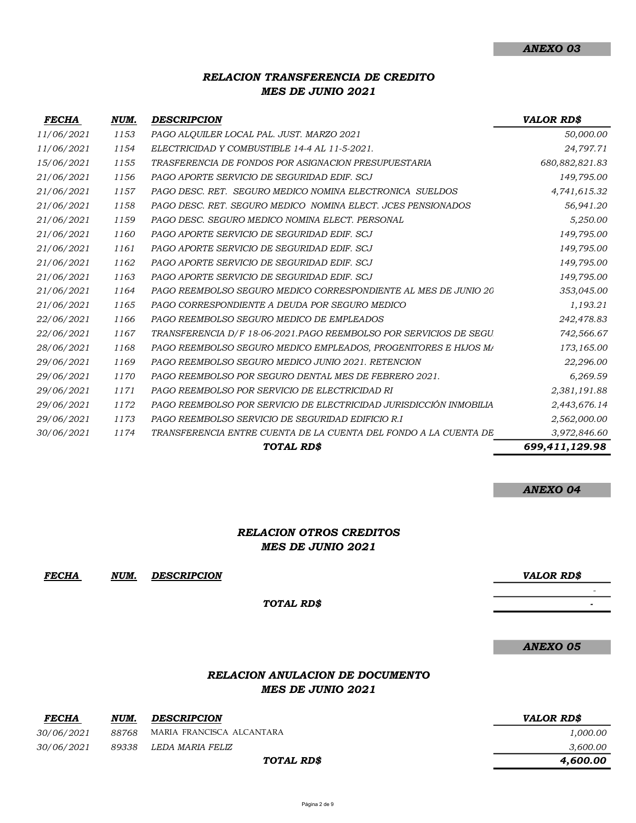## RELACION TRANSFERENCIA DE CREDITO MES DE JUNIO 2021

| <b>FECHA</b> | NUM. | <b>DESCRIPCION</b>                                                 | <b>VALOR RD\$</b> |
|--------------|------|--------------------------------------------------------------------|-------------------|
| 11/06/2021   | 1153 | PAGO ALQUILER LOCAL PAL. JUST. MARZO 2021                          | 50,000.00         |
| 11/06/2021   | 1154 | ELECTRICIDAD Y COMBUSTIBLE 14-4 AL 11-5-2021.                      | 24,797.71         |
| 15/06/2021   | 1155 | TRASFERENCIA DE FONDOS POR ASIGNACION PRESUPUESTARIA               | 680, 882, 821. 83 |
| 21/06/2021   | 1156 | PAGO APORTE SERVICIO DE SEGURIDAD EDIF. SCJ                        | 149,795.00        |
| 21/06/2021   | 1157 | PAGO DESC. RET. SEGURO MEDICO NOMINA ELECTRONICA SUELDOS           | 4,741,615.32      |
| 21/06/2021   | 1158 | PAGO DESC. RET. SEGURO MEDICO NOMINA ELECT. JCES PENSIONADOS       | 56,941.20         |
| 21/06/2021   | 1159 | PAGO DESC. SEGURO MEDICO NOMINA ELECT. PERSONAL                    | 5,250.00          |
| 21/06/2021   | 1160 | PAGO APORTE SERVICIO DE SEGURIDAD EDIF. SCJ                        | 149,795.00        |
| 21/06/2021   | 1161 | PAGO APORTE SERVICIO DE SEGURIDAD EDIF. SCJ                        | 149,795.00        |
| 21/06/2021   | 1162 | PAGO APORTE SERVICIO DE SEGURIDAD EDIF. SCJ                        | 149,795.00        |
| 21/06/2021   | 1163 | PAGO APORTE SERVICIO DE SEGURIDAD EDIF. SCJ                        | 149,795.00        |
| 21/06/2021   | 1164 | PAGO REEMBOLSO SEGURO MEDICO CORRESPONDIENTE AL MES DE JUNIO 20    | 353,045.00        |
| 21/06/2021   | 1165 | PAGO CORRESPONDIENTE A DEUDA POR SEGURO MEDICO                     | 1,193.21          |
| 22/06/2021   | 1166 | PAGO REEMBOLSO SEGURO MEDICO DE EMPLEADOS                          | 242,478.83        |
| 22/06/2021   | 1167 | TRANSFERENCIA D/F 18-06-2021.PAGO REEMBOLSO POR SERVICIOS DE SEGU  | 742,566.67        |
| 28/06/2021   | 1168 | PAGO REEMBOLSO SEGURO MEDICO EMPLEADOS, PROGENITORES E HIJOS M/    | 173,165.00        |
| 29/06/2021   | 1169 | PAGO REEMBOLSO SEGURO MEDICO JUNIO 2021. RETENCION                 | 22,296.00         |
| 29/06/2021   | 1170 | PAGO REEMBOLSO POR SEGURO DENTAL MES DE FEBRERO 2021.              | 6,269.59          |
| 29/06/2021   | 1171 | PAGO REEMBOLSO POR SERVICIO DE ELECTRICIDAD RI                     | 2,381,191.88      |
| 29/06/2021   | 1172 | PAGO REEMBOLSO POR SERVICIO DE ELECTRICIDAD JURISDICCIÓN INMOBILIA | 2,443,676.14      |
| 29/06/2021   | 1173 | PAGO REEMBOLSO SERVICIO DE SEGURIDAD EDIFICIO R.I.                 | 2,562,000.00      |
| 30/06/2021   | 1174 | TRANSFERENCIA ENTRE CUENTA DE LA CUENTA DEL FONDO A LA CUENTA DE   | 3,972,846.60      |
|              |      | TOTAL RD\$                                                         | 699.411.129.98    |

#### ANEXO 04

- 1990 - 1990 - 1990 - 1990 - 1990 - 1990 - 1990 - 1990 - 1990 - 1990 - 1990 - 1990 - 1990 - 1990 - 1990 - 19<br>1991 - 1990 - 1990 - 1990 - 1990 - 1990 - 1990 - 1990 - 1990 - 1990 - 1990 - 1990 - 1990 - 1990 - 1990 - 1990 - 1990 - 1990 - 1990 - 1990 - 1990 - 1990 - 1990 - 1990 - 1990 - 1990 - 1990 - 1990 - 1990 - 1990 - 1990 - 19<br>1991 - 1990 - 1990 - 1990 - 1990 - 1990 - 1990 - 1990 - 1990 - 1990 - 1990 - 1990 - 1990 - 1990 - 1990 - 1990

## RELACION OTROS CREDITOS MES DE JUNIO 2021

FECHA NUM. VALOR RD\$ DESCRIPCION

TOTAL RD\$

|                   |       |                                                             | ANEXO 05          |
|-------------------|-------|-------------------------------------------------------------|-------------------|
|                   |       | <b>RELACION ANULACION DE DOCUMENTO</b><br>MES DE JUNIO 2021 |                   |
| <b>FECHA</b>      | NUM.  | <b>DESCRIPCION</b>                                          | <b>VALOR RD\$</b> |
| 30/06/2021        | 88768 | MARIA FRANCISCA ALCANTARA                                   | 1,000.00          |
| <i>30/06/2021</i> | 89338 | LEDA MARIA FELIZ                                            | 3,600.00          |
|                   |       | TOTAL RD\$                                                  | 4,600.00          |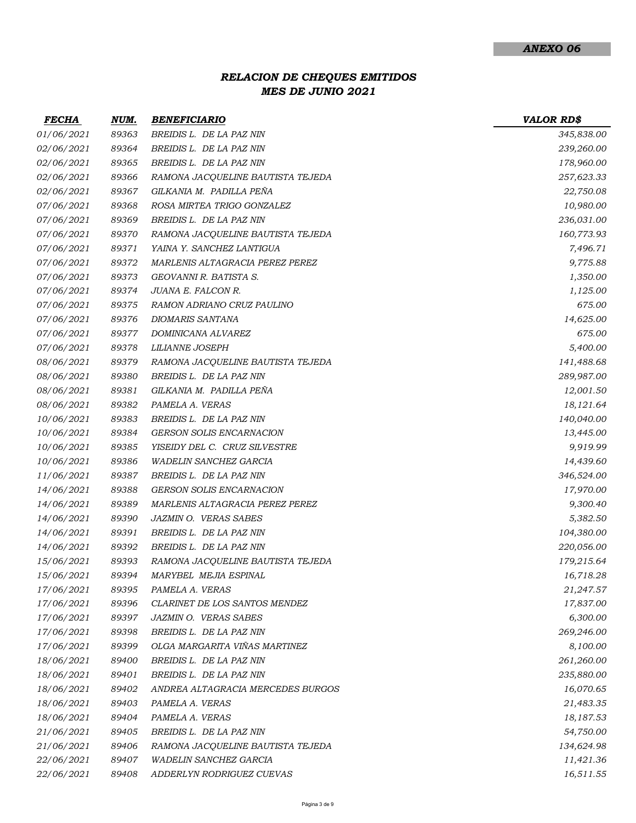# MES DE JUNIO 2021 RELACION DE CHEQUES EMITIDOS

| <b>FECHA</b>      | NUM.  | <b>BENEFICIARIO</b>               | <b>VALOR RD\$</b> |
|-------------------|-------|-----------------------------------|-------------------|
| 01/06/2021        | 89363 | BREIDIS L. DE LA PAZ NIN          | 345,838.00        |
| 02/06/2021        | 89364 | BREIDIS L. DE LA PAZ NIN          | 239,260.00        |
| 02/06/2021        | 89365 | BREIDIS L. DE LA PAZ NIN          | 178,960.00        |
| 02/06/2021        | 89366 | RAMONA JACQUELINE BAUTISTA TEJEDA | 257,623.33        |
| 02/06/2021        | 89367 | GILKANIA M. PADILLA PEÑA          | 22,750.08         |
| 07/06/2021        | 89368 | ROSA MIRTEA TRIGO GONZALEZ        | 10,980.00         |
| 07/06/2021        | 89369 | BREIDIS L. DE LA PAZ NIN          | 236,031.00        |
| <i>07/06/2021</i> | 89370 | RAMONA JACQUELINE BAUTISTA TEJEDA | 160,773.93        |
| 07/06/2021        | 89371 | YAINA Y. SANCHEZ LANTIGUA         | 7,496.71          |
| 07/06/2021        | 89372 | MARLENIS ALTAGRACIA PEREZ PEREZ   | 9,775.88          |
| 07/06/2021        | 89373 | GEOVANNI R. BATISTA S.            | 1,350.00          |
| 07/06/2021        | 89374 | JUANA E. FALCON R.                | 1,125.00          |
| <i>07/06/2021</i> | 89375 | RAMON ADRIANO CRUZ PAULINO        | 675.00            |
| 07/06/2021        | 89376 | <b>DIOMARIS SANTANA</b>           | 14,625.00         |
| <i>07/06/2021</i> | 89377 | DOMINICANA ALVAREZ                | 675.00            |
| 07/06/2021        | 89378 | <b>LILIANNE JOSEPH</b>            | 5,400.00          |
| 08/06/2021        | 89379 | RAMONA JACQUELINE BAUTISTA TEJEDA | 141,488.68        |
| 08/06/2021        | 89380 | BREIDIS L. DE LA PAZ NIN          | 289,987.00        |
| 08/06/2021        | 89381 | GILKANIA M. PADILLA PEÑA          | 12,001.50         |
| 08/06/2021        | 89382 | PAMELA A. VERAS                   | 18,121.64         |
| 10/06/2021        | 89383 | BREIDIS L. DE LA PAZ NIN          | 140,040.00        |
| 10/06/2021        | 89384 | <b>GERSON SOLIS ENCARNACION</b>   | 13,445.00         |
| 10/06/2021        | 89385 | YISEIDY DEL C. CRUZ SILVESTRE     | 9,919.99          |
| 10/06/2021        | 89386 | <b>WADELIN SANCHEZ GARCIA</b>     | 14,439.60         |
| 11/06/2021        | 89387 | BREIDIS L. DE LA PAZ NIN          | 346,524.00        |
| 14/06/2021        | 89388 | <b>GERSON SOLIS ENCARNACION</b>   | 17,970.00         |
| 14/06/2021        | 89389 | MARLENIS ALTAGRACIA PEREZ PEREZ   | 9,300.40          |
| 14/06/2021        | 89390 | JAZMIN O. VERAS SABES             | 5,382.50          |
| 14/06/2021        | 89391 | BREIDIS L. DE LA PAZ NIN          | 104,380.00        |
| 14/06/2021        | 89392 | BREIDIS L. DE LA PAZ NIN          | 220,056.00        |
| 15/06/2021        | 89393 | RAMONA JACQUELINE BAUTISTA TEJEDA | 179,215.64        |
| 15/06/2021        | 89394 | MARYBEL MEJIA ESPINAL             | 16,718.28         |
| 17/06/2021        | 89395 | PAMELA A. VERAS                   | 21,247.57         |
| 17/06/2021        | 89396 | CLARINET DE LOS SANTOS MENDEZ     | 17,837.00         |
| 17/06/2021        | 89397 | JAZMIN O. VERAS SABES             | 6,300.00          |
| 17/06/2021        | 89398 | BREIDIS L. DE LA PAZ NIN          | 269,246.00        |
| 17/06/2021        | 89399 | OLGA MARGARITA VIÑAS MARTINEZ     | 8,100.00          |
| 18/06/2021        | 89400 | BREIDIS L. DE LA PAZ NIN          | 261,260.00        |
| 18/06/2021        | 89401 | BREIDIS L. DE LA PAZ NIN          | 235,880.00        |
| 18/06/2021        | 89402 | ANDREA ALTAGRACIA MERCEDES BURGOS | 16,070.65         |
| 18/06/2021        | 89403 | PAMELA A. VERAS                   | 21,483.35         |
| 18/06/2021        | 89404 | PAMELA A. VERAS                   | 18,187.53         |
| 21/06/2021        | 89405 | BREIDIS L. DE LA PAZ NIN          | 54,750.00         |
| 21/06/2021        | 89406 | RAMONA JACQUELINE BAUTISTA TEJEDA | 134,624.98        |
| 22/06/2021        | 89407 | <b>WADELIN SANCHEZ GARCIA</b>     | 11,421.36         |
| 22/06/2021        | 89408 | ADDERLYN RODRIGUEZ CUEVAS         | 16,511.55         |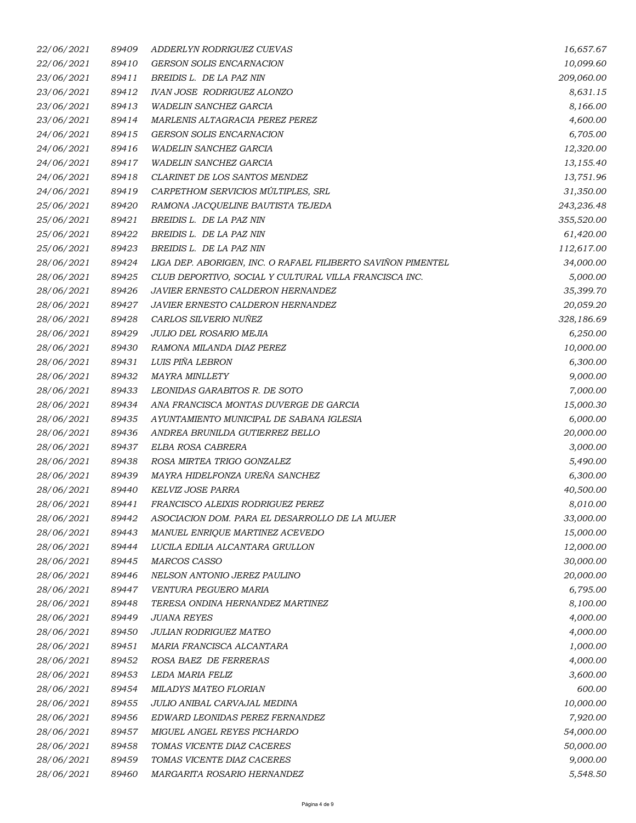| <i>22/06/2021</i> | 89409 | ADDERLYN RODRIGUEZ CUEVAS                                    | 16,657.67  |
|-------------------|-------|--------------------------------------------------------------|------------|
| 22/06/2021        | 89410 | <b>GERSON SOLIS ENCARNACION</b>                              | 10,099.60  |
| 23/06/2021        | 89411 | BREIDIS L. DE LA PAZ NIN                                     | 209,060.00 |
| 23/06/2021        | 89412 | <b>IVAN JOSE RODRIGUEZ ALONZO</b>                            | 8,631.15   |
| 23/06/2021        | 89413 | <b>WADELIN SANCHEZ GARCIA</b>                                | 8,166.00   |
| 23/06/2021        | 89414 | MARLENIS ALTAGRACIA PEREZ PEREZ                              | 4,600.00   |
| 24/06/2021        | 89415 | <b>GERSON SOLIS ENCARNACION</b>                              | 6,705.00   |
| 24/06/2021        | 89416 | <b>WADELIN SANCHEZ GARCIA</b>                                | 12,320.00  |
| 24/06/2021        | 89417 | WADELIN SANCHEZ GARCIA                                       | 13,155.40  |
| 24/06/2021        | 89418 | CLARINET DE LOS SANTOS MENDEZ                                | 13,751.96  |
| 24/06/2021        | 89419 | CARPETHOM SERVICIOS MÚLTIPLES, SRL                           | 31,350.00  |
| 25/06/2021        | 89420 | RAMONA JACQUELINE BAUTISTA TEJEDA                            | 243,236.48 |
| 25/06/2021        | 89421 | BREIDIS L. DE LA PAZ NIN                                     | 355,520.00 |
| 25/06/2021        | 89422 | BREIDIS L. DE LA PAZ NIN                                     | 61,420.00  |
| 25/06/2021        | 89423 | BREIDIS L. DE LA PAZ NIN                                     | 112,617.00 |
| 28/06/2021        | 89424 | LIGA DEP. ABORIGEN, INC. O RAFAEL FILIBERTO SAVIÑON PIMENTEL | 34,000.00  |
| 28/06/2021        | 89425 | CLUB DEPORTIVO, SOCIAL Y CULTURAL VILLA FRANCISCA INC.       | 5,000.00   |
| 28/06/2021        | 89426 | <b>JAVIER ERNESTO CALDERON HERNANDEZ</b>                     | 35,399.70  |
| 28/06/2021        | 89427 | JAVIER ERNESTO CALDERON HERNANDEZ                            | 20,059.20  |
| 28/06/2021        | 89428 | CARLOS SILVERIO NUÑEZ                                        | 328,186.69 |
| 28/06/2021        | 89429 | JULIO DEL ROSARIO MEJIA                                      | 6,250.00   |
| 28/06/2021        | 89430 | RAMONA MILANDA DIAZ PEREZ                                    | 10,000.00  |
| 28/06/2021        | 89431 | LUIS PIÑA LEBRON                                             | 6,300.00   |
| 28/06/2021        | 89432 | <b>MAYRA MINLLETY</b>                                        | 9,000.00   |
| 28/06/2021        | 89433 | LEONIDAS GARABITOS R. DE SOTO                                | 7,000.00   |
| <i>28/06/2021</i> | 89434 | ANA FRANCISCA MONTAS DUVERGE DE GARCIA                       | 15,000.30  |
| 28/06/2021        | 89435 | AYUNTAMIENTO MUNICIPAL DE SABANA IGLESIA                     | 6,000.00   |
| 28/06/2021        | 89436 | ANDREA BRUNILDA GUTIERREZ BELLO                              | 20,000.00  |
| 28/06/2021        | 89437 | ELBA ROSA CABRERA                                            | 3,000.00   |
| 28/06/2021        | 89438 | ROSA MIRTEA TRIGO GONZALEZ                                   | 5,490.00   |
| 28/06/2021        | 89439 | MAYRA HIDELFONZA UREÑA SANCHEZ                               | 6,300.00   |
| 28/06/2021        | 89440 | KELVIZ JOSE PARRA                                            | 40,500.00  |
| 28/06/2021        | 89441 | FRANCISCO ALEIXIS RODRIGUEZ PEREZ                            | 8,010.00   |
| <i>28/06/2021</i> | 89442 | ASOCIACION DOM. PARA EL DESARROLLO DE LA MUJER               | 33,000.00  |
| 28/06/2021        | 89443 | MANUEL ENRIQUE MARTINEZ ACEVEDO                              | 15,000.00  |
| 28/06/2021        | 89444 | LUCILA EDILIA ALCANTARA GRULLON                              | 12,000.00  |
| 28/06/2021        | 89445 | <b>MARCOS CASSO</b>                                          | 30,000.00  |
| 28/06/2021        | 89446 | NELSON ANTONIO JEREZ PAULINO                                 | 20,000.00  |
| 28/06/2021        | 89447 | VENTURA PEGUERO MARIA                                        | 6,795.00   |
| 28/06/2021        | 89448 | TERESA ONDINA HERNANDEZ MARTINEZ                             | 8,100.00   |
| 28/06/2021        | 89449 | <b>JUANA REYES</b>                                           | 4,000.00   |
| 28/06/2021        | 89450 | JULIAN RODRIGUEZ MATEO                                       | 4,000.00   |
| 28/06/2021        | 89451 | MARIA FRANCISCA ALCANTARA                                    | 1,000.00   |
| 28/06/2021        | 89452 | ROSA BAEZ DE FERRERAS                                        | 4,000.00   |
| 28/06/2021        | 89453 | LEDA MARIA FELIZ                                             | 3,600.00   |
| 28/06/2021        | 89454 | <b>MILADYS MATEO FLORIAN</b>                                 | 600.00     |
| <i>28/06/2021</i> | 89455 | JULIO ANIBAL CARVAJAL MEDINA                                 | 10,000.00  |
| 28/06/2021        | 89456 | EDWARD LEONIDAS PEREZ FERNANDEZ                              | 7,920.00   |
| 28/06/2021        | 89457 | MIGUEL ANGEL REYES PICHARDO                                  | 54,000.00  |
| <i>28/06/2021</i> | 89458 | TOMAS VICENTE DIAZ CACERES                                   | 50,000.00  |
| 28/06/2021        | 89459 | TOMAS VICENTE DIAZ CACERES                                   | 9,000.00   |
| 28/06/2021        | 89460 | MARGARITA ROSARIO HERNANDEZ                                  | 5,548.50   |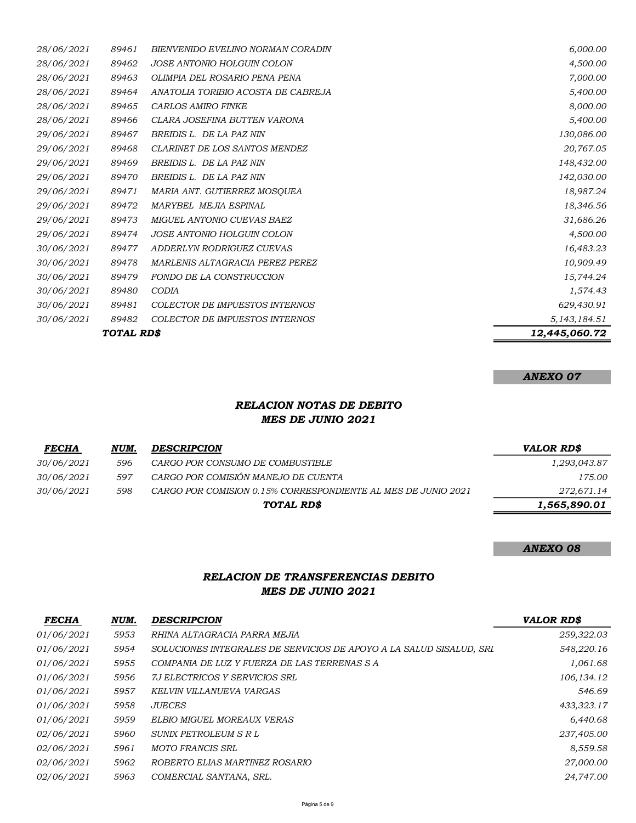| TOTAL RD\$ |       |                                       | 12,445,060.72   |
|------------|-------|---------------------------------------|-----------------|
| 30/06/2021 | 89482 | <b>COLECTOR DE IMPUESTOS INTERNOS</b> | 5, 143, 184. 51 |
| 30/06/2021 | 89481 | COLECTOR DE IMPUESTOS INTERNOS        | 629,430.91      |
| 30/06/2021 | 89480 | <b>CODIA</b>                          | 1,574.43        |
| 30/06/2021 | 89479 | FONDO DE LA CONSTRUCCION              | 15,744.24       |
| 30/06/2021 | 89478 | MARLENIS ALTAGRACIA PEREZ PEREZ       | 10,909.49       |
| 30/06/2021 | 89477 | ADDERLYN RODRIGUEZ CUEVAS             | 16,483.23       |
| 29/06/2021 | 89474 | JOSE ANTONIO HOLGUIN COLON            | 4,500.00        |
| 29/06/2021 | 89473 | MIGUEL ANTONIO CUEVAS BAEZ            | 31,686.26       |
| 29/06/2021 | 89472 | MARYBEL MEJIA ESPINAL                 | 18,346.56       |
| 29/06/2021 | 89471 | MARIA ANT. GUTIERREZ MOSQUEA          | 18,987.24       |
| 29/06/2021 | 89470 | BREIDIS L. DE LA PAZ NIN              | 142,030.00      |
| 29/06/2021 | 89469 | BREIDIS L. DE LA PAZ NIN              | 148,432.00      |
| 29/06/2021 | 89468 | CLARINET DE LOS SANTOS MENDEZ         | 20,767.05       |
| 29/06/2021 | 89467 | BREIDIS L. DE LA PAZ NIN              | 130,086.00      |
| 28/06/2021 | 89466 | CLARA JOSEFINA BUTTEN VARONA          | 5,400.00        |
| 28/06/2021 | 89465 | <b>CARLOS AMIRO FINKE</b>             | 8,000.00        |
| 28/06/2021 | 89464 | ANATOLIA TORIBIO ACOSTA DE CABREJA    | 5,400.00        |
| 28/06/2021 | 89463 | OLIMPIA DEL ROSARIO PENA PENA         | 7,000.00        |
| 28/06/2021 | 89462 | JOSE ANTONIO HOLGUIN COLON            | 4,500.00        |
| 28/06/2021 | 89461 | BIENVENIDO EVELINO NORMAN CORADIN     | 6,000.00        |

#### ANEXO 07

## RELACION NOTAS DE DEBITO MES DE JUNIO 2021

| <b>FECHA</b>      | NUM. | <b>DESCRIPCION</b>                                            | VALOR RD\$   |
|-------------------|------|---------------------------------------------------------------|--------------|
| <i>30/06/2021</i> | 596  | CARGO POR CONSUMO DE COMBUSTIBLE                              | 1,293,043.87 |
| <i>30/06/2021</i> | 597  | CARGO POR COMISIÓN MANEJO DE CUENTA                           | 175.00       |
| <i>30/06/2021</i> | 598  | CARGO POR COMISION 0.15% CORRESPONDIENTE AL MES DE JUNIO 2021 | 272,671.14   |
|                   |      | TOTAL RD\$                                                    | 1,565,890.01 |

#### ANEXO 08

## RELACION DE TRANSFERENCIAS DEBITO MES DE JUNIO 2021

| <b>FECHA</b>      | NUM. | <b>DESCRIPCION</b>                                                  | VALOR RD\$   |
|-------------------|------|---------------------------------------------------------------------|--------------|
| <i>01/06/2021</i> | 5953 | RHINA ALTAGRACIA PARRA MEJIA                                        | 259,322.03   |
| 01/06/2021        | 5954 | SOLUCIONES INTEGRALES DE SERVICIOS DE APOYO A LA SALUD SISALUD, SRI | 548,220.16   |
| 01/06/2021        | 5955 | COMPANIA DE LUZ Y FUERZA DE LAS TERRENAS S A                        | 1,061.68     |
| 01/06/2021        | 5956 | 7J ELECTRICOS Y SERVICIOS SRL                                       | 106, 134. 12 |
| 01/06/2021        | 5957 | KELVIN VILLANUEVA VARGAS                                            | 546.69       |
| 01/06/2021        | 5958 | <b>JUECES</b>                                                       | 433,323.17   |
| 01/06/2021        | 5959 | ELBIO MIGUEL MOREAUX VERAS                                          | 6,440.68     |
| <i>02/06/2021</i> | 5960 | SUNIX PETROLEUM S R L                                               | 237,405.00   |
| <i>02/06/2021</i> | 5961 | MOTO FRANCIS SRL                                                    | 8,559.58     |
| <i>02/06/2021</i> | 5962 | ROBERTO ELIAS MARTINEZ ROSARIO                                      | 27,000.00    |
| 02/06/2021        | 5963 | COMERCIAL SANTANA, SRL.                                             | 24,747.00    |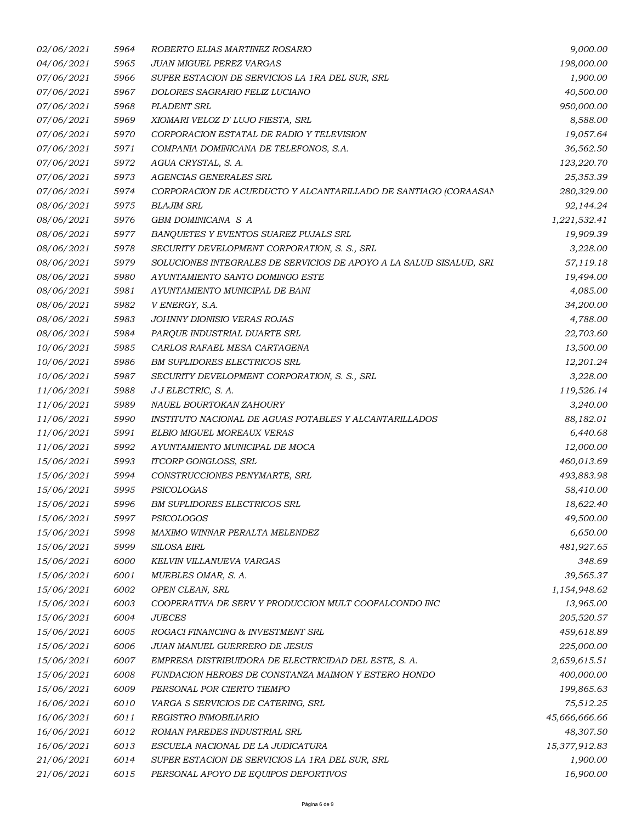| 02/06/2021 | 5964 | ROBERTO ELIAS MARTINEZ ROSARIO                                      | 9,000.00      |
|------------|------|---------------------------------------------------------------------|---------------|
| 04/06/2021 | 5965 | JUAN MIGUEL PEREZ VARGAS                                            | 198,000.00    |
| 07/06/2021 | 5966 | SUPER ESTACION DE SERVICIOS LA 1RA DEL SUR, SRL                     | 1,900.00      |
| 07/06/2021 | 5967 | DOLORES SAGRARIO FELIZ LUCIANO                                      | 40,500.00     |
| 07/06/2021 | 5968 | PLADENT SRL                                                         | 950,000.00    |
| 07/06/2021 | 5969 | XIOMARI VELOZ D' LUJO FIESTA, SRL                                   | 8,588.00      |
| 07/06/2021 | 5970 | CORPORACION ESTATAL DE RADIO Y TELEVISION                           | 19,057.64     |
| 07/06/2021 | 5971 | COMPANIA DOMINICANA DE TELEFONOS, S.A.                              | 36,562.50     |
| 07/06/2021 | 5972 | AGUA CRYSTAL, S. A.                                                 | 123,220.70    |
| 07/06/2021 | 5973 | AGENCIAS GENERALES SRL                                              | 25,353.39     |
| 07/06/2021 | 5974 | CORPORACION DE ACUEDUCTO Y ALCANTARILLADO DE SANTIAGO (CORAASAN     | 280,329.00    |
| 08/06/2021 | 5975 | BLAJIM SRL                                                          | 92,144.24     |
| 08/06/2021 | 5976 | GBM DOMINICANA S A                                                  | 1,221,532.41  |
| 08/06/2021 | 5977 | BANQUETES Y EVENTOS SUAREZ PUJALS SRL                               | 19,909.39     |
| 08/06/2021 | 5978 | SECURITY DEVELOPMENT CORPORATION, S. S., SRL                        | 3,228.00      |
| 08/06/2021 | 5979 | SOLUCIONES INTEGRALES DE SERVICIOS DE APOYO A LA SALUD SISALUD, SRI | 57,119.18     |
| 08/06/2021 | 5980 | AYUNTAMIENTO SANTO DOMINGO ESTE                                     | 19,494.00     |
| 08/06/2021 | 5981 | AYUNTAMIENTO MUNICIPAL DE BANI                                      | 4,085.00      |
| 08/06/2021 | 5982 | V ENERGY, S.A.                                                      | 34,200.00     |
| 08/06/2021 | 5983 | JOHNNY DIONISIO VERAS ROJAS                                         | 4,788.00      |
| 08/06/2021 | 5984 | PARQUE INDUSTRIAL DUARTE SRL                                        | 22,703.60     |
| 10/06/2021 | 5985 | CARLOS RAFAEL MESA CARTAGENA                                        | 13,500.00     |
| 10/06/2021 | 5986 | <b>BM SUPLIDORES ELECTRICOS SRL</b>                                 | 12,201.24     |
| 10/06/2021 | 5987 | SECURITY DEVELOPMENT CORPORATION, S. S., SRL                        | 3,228.00      |
| 11/06/2021 | 5988 | J J ELECTRIC, S. A.                                                 | 119,526.14    |
| 11/06/2021 | 5989 | NAUEL BOURTOKAN ZAHOURY                                             | 3,240.00      |
| 11/06/2021 | 5990 | INSTITUTO NACIONAL DE AGUAS POTABLES Y ALCANTARILLADOS              | 88,182.01     |
| 11/06/2021 | 5991 | ELBIO MIGUEL MOREAUX VERAS                                          | 6,440.68      |
| 11/06/2021 | 5992 | AYUNTAMIENTO MUNICIPAL DE MOCA                                      | 12,000.00     |
| 15/06/2021 | 5993 | ITCORP GONGLOSS, SRL                                                | 460,013.69    |
| 15/06/2021 | 5994 | CONSTRUCCIONES PENYMARTE, SRL                                       | 493,883.98    |
| 15/06/2021 | 5995 | PSICOLOGAS                                                          | 58,410.00     |
| 15/06/2021 | 5996 | BM SUPLIDORES ELECTRICOS SRL                                        | 18,622.40     |
| 15/06/2021 | 5997 | PSICOLOGOS                                                          | 49,500.00     |
| 15/06/2021 | 5998 | MAXIMO WINNAR PERALTA MELENDEZ                                      | 6,650.00      |
| 15/06/2021 | 5999 | SILOSA EIRL                                                         | 481,927.65    |
| 15/06/2021 | 6000 | KELVIN VILLANUEVA VARGAS                                            | 348.69        |
| 15/06/2021 | 6001 | MUEBLES OMAR, S. A.                                                 | 39,565.37     |
| 15/06/2021 | 6002 | OPEN CLEAN, SRL                                                     | 1,154,948.62  |
| 15/06/2021 | 6003 | COOPERATIVA DE SERV Y PRODUCCION MULT COOFALCONDO INC               | 13,965.00     |
| 15/06/2021 | 6004 | <b>JUECES</b>                                                       | 205,520.57    |
| 15/06/2021 | 6005 | ROGACI FINANCING & INVESTMENT SRL                                   | 459,618.89    |
| 15/06/2021 | 6006 | JUAN MANUEL GUERRERO DE JESUS                                       | 225,000.00    |
| 15/06/2021 | 6007 | EMPRESA DISTRIBUIDORA DE ELECTRICIDAD DEL ESTE, S. A.               | 2,659,615.51  |
| 15/06/2021 | 6008 | FUNDACION HEROES DE CONSTANZA MAIMON Y ESTERO HONDO                 | 400,000.00    |
| 15/06/2021 | 6009 | PERSONAL POR CIERTO TIEMPO                                          | 199,865.63    |
| 16/06/2021 | 6010 | VARGA S SERVICIOS DE CATERING, SRL                                  | 75,512.25     |
| 16/06/2021 | 6011 | REGISTRO INMOBILIARIO                                               | 45,666,666.66 |
| 16/06/2021 | 6012 | ROMAN PAREDES INDUSTRIAL SRL                                        | 48,307.50     |
| 16/06/2021 | 6013 | ESCUELA NACIONAL DE LA JUDICATURA                                   | 15,377,912.83 |
| 21/06/2021 | 6014 | SUPER ESTACION DE SERVICIOS LA 1RA DEL SUR, SRL                     | 1,900.00      |
| 21/06/2021 | 6015 | PERSONAL APOYO DE EQUIPOS DEPORTIVOS                                | 16,900.00     |
|            |      |                                                                     |               |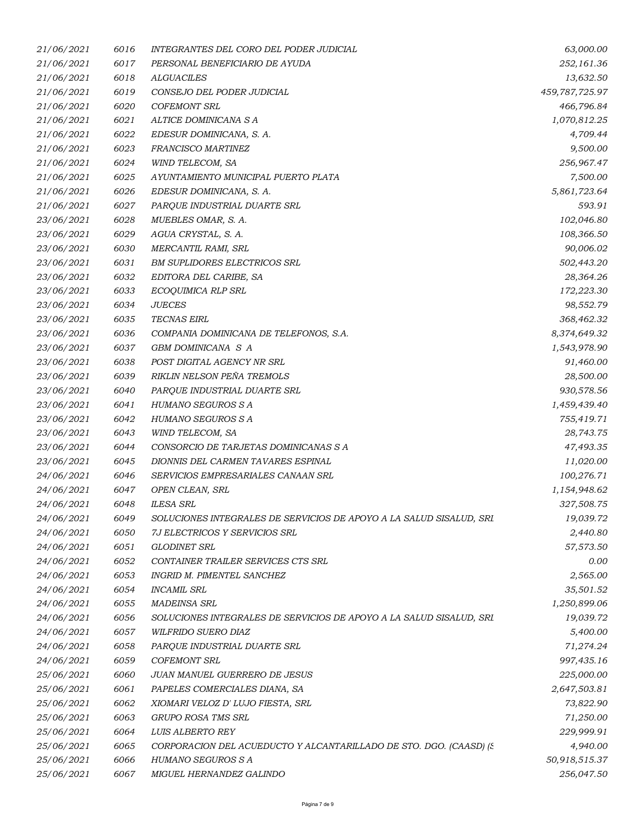| 21/06/2021 | 6016 | INTEGRANTES DEL CORO DEL PODER JUDICIAL                             | 63,000.00      |
|------------|------|---------------------------------------------------------------------|----------------|
| 21/06/2021 | 6017 | PERSONAL BENEFICIARIO DE AYUDA                                      | 252,161.36     |
| 21/06/2021 | 6018 | <b>ALGUACILES</b>                                                   | 13,632.50      |
| 21/06/2021 | 6019 | CONSEJO DEL PODER JUDICIAL                                          | 459,787,725.97 |
| 21/06/2021 | 6020 | <b>COFEMONT SRL</b>                                                 | 466,796.84     |
| 21/06/2021 | 6021 | ALTICE DOMINICANA S A                                               | 1,070,812.25   |
| 21/06/2021 | 6022 | EDESUR DOMINICANA, S. A.                                            | 4,709.44       |
| 21/06/2021 | 6023 | FRANCISCO MARTINEZ                                                  | 9,500.00       |
| 21/06/2021 | 6024 | WIND TELECOM, SA                                                    | 256,967.47     |
| 21/06/2021 | 6025 | AYUNTAMIENTO MUNICIPAL PUERTO PLATA                                 | 7,500.00       |
| 21/06/2021 | 6026 | EDESUR DOMINICANA, S. A.                                            | 5,861,723.64   |
| 21/06/2021 | 6027 | PARQUE INDUSTRIAL DUARTE SRL                                        | 593.91         |
| 23/06/2021 | 6028 | MUEBLES OMAR, S. A.                                                 | 102,046.80     |
| 23/06/2021 | 6029 | AGUA CRYSTAL, S. A.                                                 | 108,366.50     |
| 23/06/2021 | 6030 | MERCANTIL RAMI, SRL                                                 | 90,006.02      |
| 23/06/2021 | 6031 | <b>BM SUPLIDORES ELECTRICOS SRL</b>                                 | 502,443.20     |
| 23/06/2021 | 6032 | EDITORA DEL CARIBE, SA                                              | 28,364.26      |
| 23/06/2021 | 6033 | ECOQUIMICA RLP SRL                                                  | 172,223.30     |
| 23/06/2021 | 6034 | <b>JUECES</b>                                                       | 98,552.79      |
| 23/06/2021 | 6035 | <b>TECNAS EIRL</b>                                                  | 368,462.32     |
| 23/06/2021 | 6036 | COMPANIA DOMINICANA DE TELEFONOS, S.A.                              | 8,374,649.32   |
| 23/06/2021 | 6037 | GBM DOMINICANA S A                                                  | 1,543,978.90   |
| 23/06/2021 | 6038 | POST DIGITAL AGENCY NR SRL                                          | 91,460.00      |
| 23/06/2021 | 6039 | RIKLIN NELSON PEÑA TREMOLS                                          | 28,500.00      |
| 23/06/2021 | 6040 | PARQUE INDUSTRIAL DUARTE SRL                                        | 930,578.56     |
| 23/06/2021 | 6041 | HUMANO SEGUROS S A                                                  | 1,459,439.40   |
| 23/06/2021 | 6042 | HUMANO SEGUROS S A                                                  | 755,419.71     |
| 23/06/2021 | 6043 | WIND TELECOM, SA                                                    | 28,743.75      |
| 23/06/2021 | 6044 | CONSORCIO DE TARJETAS DOMINICANAS S A                               | 47,493.35      |
| 23/06/2021 | 6045 | DIONNIS DEL CARMEN TAVARES ESPINAL                                  | 11,020.00      |
| 24/06/2021 | 6046 | SERVICIOS EMPRESARIALES CANAAN SRL                                  | 100,276.71     |
| 24/06/2021 | 6047 | OPEN CLEAN, SRL                                                     | 1,154,948.62   |
| 24/06/2021 | 6048 | <b>ILESA SRL</b>                                                    | 327,508.75     |
| 24/06/2021 | 6049 | SOLUCIONES INTEGRALES DE SERVICIOS DE APOYO A LA SALUD SISALUD, SRI | 19,039.72      |
| 24/06/2021 | 6050 | 7J ELECTRICOS Y SERVICIOS SRL                                       | 2,440.80       |
| 24/06/2021 | 6051 | <b>GLODINET SRL</b>                                                 | 57,573.50      |
| 24/06/2021 | 6052 | CONTAINER TRAILER SERVICES CTS SRL                                  | 0.00           |
| 24/06/2021 | 6053 | INGRID M. PIMENTEL SANCHEZ                                          | 2,565.00       |
| 24/06/2021 | 6054 | <b>INCAMIL SRL</b>                                                  | 35,501.52      |
| 24/06/2021 | 6055 | <b>MADEINSA SRL</b>                                                 | 1,250,899.06   |
| 24/06/2021 | 6056 | SOLUCIONES INTEGRALES DE SERVICIOS DE APOYO A LA SALUD SISALUD, SRI | 19,039.72      |
| 24/06/2021 | 6057 | WILFRIDO SUERO DIAZ                                                 | 5,400.00       |
| 24/06/2021 | 6058 | PARQUE INDUSTRIAL DUARTE SRL                                        | 71,274.24      |
| 24/06/2021 | 6059 | <b>COFEMONT SRL</b>                                                 | 997,435.16     |
| 25/06/2021 | 6060 | JUAN MANUEL GUERRERO DE JESUS                                       | 225,000.00     |
| 25/06/2021 | 6061 | PAPELES COMERCIALES DIANA, SA                                       | 2,647,503.81   |
| 25/06/2021 | 6062 | XIOMARI VELOZ D' LUJO FIESTA, SRL                                   | 73,822.90      |
| 25/06/2021 | 6063 | GRUPO ROSA TMS SRL                                                  | 71,250.00      |
| 25/06/2021 | 6064 | <b>LUIS ALBERTO REY</b>                                             | 229,999.91     |
| 25/06/2021 | 6065 | CORPORACION DEL ACUEDUCTO Y ALCANTARILLADO DE STO. DGO. (CAASD) (S. | 4,940.00       |
| 25/06/2021 | 6066 | HUMANO SEGUROS S A                                                  | 50,918,515.37  |
| 25/06/2021 | 6067 | MIGUEL HERNANDEZ GALINDO                                            | 256,047.50     |
|            |      |                                                                     |                |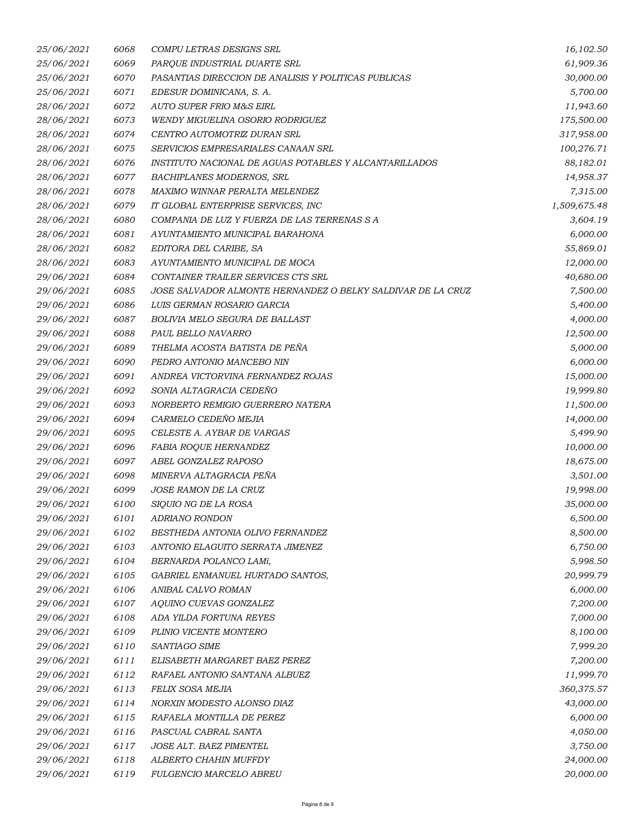| 25/06/2021        | 6068 | COMPU LETRAS DESIGNS SRL                                    | 16,102.50    |
|-------------------|------|-------------------------------------------------------------|--------------|
| 25/06/2021        | 6069 | PARQUE INDUSTRIAL DUARTE SRL                                | 61,909.36    |
| 25/06/2021        | 6070 | PASANTIAS DIRECCION DE ANALISIS Y POLITICAS PUBLICAS        | 30,000.00    |
| 25/06/2021        | 6071 | EDESUR DOMINICANA, S. A.                                    | 5,700.00     |
| 28/06/2021        | 6072 | AUTO SUPER FRIO M&S EIRL                                    | 11,943.60    |
| 28/06/2021        | 6073 | WENDY MIGUELINA OSORIO RODRIGUEZ                            | 175,500.00   |
| 28/06/2021        | 6074 | CENTRO AUTOMOTRIZ DURAN SRL                                 | 317,958.00   |
| 28/06/2021        | 6075 | SERVICIOS EMPRESARIALES CANAAN SRL                          | 100,276.71   |
| 28/06/2021        | 6076 | INSTITUTO NACIONAL DE AGUAS POTABLES Y ALCANTARILLADOS      | 88,182.01    |
| 28/06/2021        | 6077 | <b>BACHIPLANES MODERNOS, SRL</b>                            | 14,958.37    |
| 28/06/2021        | 6078 | MAXIMO WINNAR PERALTA MELENDEZ                              | 7,315.00     |
| 28/06/2021        | 6079 | IT GLOBAL ENTERPRISE SERVICES, INC                          | 1,509,675.48 |
| 28/06/2021        | 6080 | COMPANIA DE LUZ Y FUERZA DE LAS TERRENAS S A                | 3,604.19     |
| 28/06/2021        | 6081 | AYUNTAMIENTO MUNICIPAL BARAHONA                             | 6,000.00     |
| <i>28/06/2021</i> | 6082 | EDITORA DEL CARIBE, SA                                      | 55,869.01    |
| 28/06/2021        | 6083 | AYUNTAMIENTO MUNICIPAL DE MOCA                              | 12,000.00    |
| 29/06/2021        | 6084 | CONTAINER TRAILER SERVICES CTS SRL                          | 40,680.00    |
| 29/06/2021        | 6085 | JOSE SALVADOR ALMONTE HERNANDEZ O BELKY SALDIVAR DE LA CRUZ | 7,500.00     |
| 29/06/2021        | 6086 | LUIS GERMAN ROSARIO GARCIA                                  | 5,400.00     |
| 29/06/2021        | 6087 | BOLIVIA MELO SEGURA DE BALLAST                              | 4,000.00     |
| 29/06/2021        | 6088 | PAUL BELLO NAVARRO                                          | 12,500.00    |
| 29/06/2021        | 6089 | THELMA ACOSTA BATISTA DE PEÑA                               | 5,000.00     |
| 29/06/2021        | 6090 | PEDRO ANTONIO MANCEBO NIN                                   | 6,000.00     |
| 29/06/2021        | 6091 | ANDREA VICTORVINA FERNANDEZ ROJAS                           | 15,000.00    |
| 29/06/2021        | 6092 | SONIA ALTAGRACIA CEDENO                                     | 19,999.80    |
| 29/06/2021        | 6093 | NORBERTO REMIGIO GUERRERO NATERA                            | 11,500.00    |
| 29/06/2021        | 6094 | CARMELO CEDEÑO MEJIA                                        | 14,000.00    |
| 29/06/2021        | 6095 | CELESTE A. AYBAR DE VARGAS                                  | 5,499.90     |
| 29/06/2021        | 6096 | FABIA ROQUE HERNANDEZ                                       | 10,000.00    |
| 29/06/2021        | 6097 | ABEL GONZALEZ RAPOSO                                        | 18,675.00    |
| 29/06/2021        | 6098 | MINERVA ALTAGRACIA PEÑA                                     | 3,501.00     |
| 29/06/2021        | 6099 | JOSE RAMON DE LA CRUZ                                       | 19,998.00    |
| 29/06/2021        | 6100 | SIOUIO NG DE LA ROSA                                        | 35,000.00    |
| 29/06/2021        | 6101 | <i>ADRIANO RONDON</i>                                       | 6,500.00     |
| 29/06/2021        | 6102 | BESTHEDA ANTONIA OLIVO FERNANDEZ                            | 8,500.00     |
| 29/06/2021        | 6103 | ANTONIO ELAGUITO SERRATA JIMENEZ                            | 6,750.00     |
| 29/06/2021        | 6104 | BERNARDA POLANCO LAMí,                                      | 5,998.50     |
| 29/06/2021        | 6105 | GABRIEL ENMANUEL HURTADO SANTOS,                            | 20,999.79    |
| 29/06/2021        | 6106 | ANIBAL CALVO ROMAN                                          | 6,000.00     |
| 29/06/2021        | 6107 | AQUINO CUEVAS GONZALEZ                                      | 7,200.00     |
| 29/06/2021        | 6108 | ADA YILDA FORTUNA REYES                                     | 7,000.00     |
| 29/06/2021        | 6109 | PLINIO VICENTE MONTERO                                      | 8,100.00     |
| 29/06/2021        | 6110 | SANTIAGO SIME                                               | 7,999.20     |
| 29/06/2021        | 6111 | ELISABETH MARGARET BAEZ PEREZ                               | 7,200.00     |
| 29/06/2021        | 6112 | RAFAEL ANTONIO SANTANA ALBUEZ                               | 11,999.70    |
| 29/06/2021        | 6113 | FELIX SOSA MEJIA                                            | 360,375.57   |
| 29/06/2021        | 6114 | NORXIN MODESTO ALONSO DIAZ                                  | 43,000.00    |
| 29/06/2021        | 6115 | RAFAELA MONTILLA DE PEREZ                                   | 6,000.00     |
| 29/06/2021        | 6116 | PASCUAL CABRAL SANTA                                        | 4,050.00     |
| 29/06/2021        | 6117 | JOSE ALT. BAEZ PIMENTEL                                     | 3,750.00     |
| 29/06/2021        | 6118 | ALBERTO CHAHIN MUFFDY                                       | 24,000.00    |
| 29/06/2021        | 6119 | <b>FULGENCIO MARCELO ABREU</b>                              | 20,000.00    |